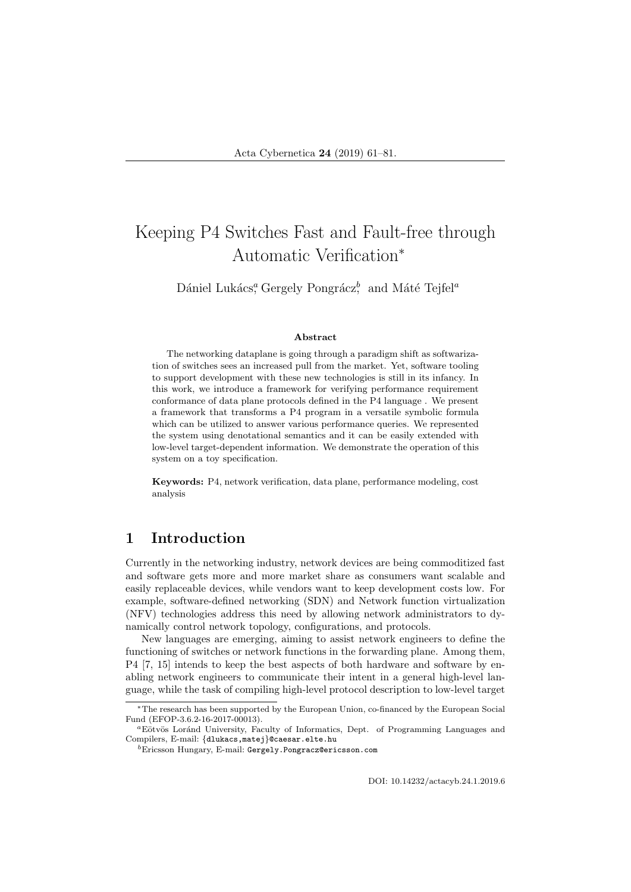# Keeping P4 Switches Fast and Fault-free through Automatic Verification<sup>∗</sup>

Dániel Lukács<sup>a</sup> Gergely Pongrácz<sup>b</sup>, and Máté Tejfel<sup>a</sup>

#### Abstract

The networking dataplane is going through a paradigm shift as softwarization of switches sees an increased pull from the market. Yet, software tooling to support development with these new technologies is still in its infancy. In this work, we introduce a framework for verifying performance requirement conformance of data plane protocols defined in the P4 language . We present a framework that transforms a P4 program in a versatile symbolic formula which can be utilized to answer various performance queries. We represented the system using denotational semantics and it can be easily extended with low-level target-dependent information. We demonstrate the operation of this system on a toy specification.

Keywords: P4, network verification, data plane, performance modeling, cost analysis

# 1 Introduction

Currently in the networking industry, network devices are being commoditized fast and software gets more and more market share as consumers want scalable and easily replaceable devices, while vendors want to keep development costs low. For example, software-defined networking (SDN) and Network function virtualization (NFV) technologies address this need by allowing network administrators to dynamically control network topology, configurations, and protocols.

New languages are emerging, aiming to assist network engineers to define the functioning of switches or network functions in the forwarding plane. Among them, P4 [7, 15] intends to keep the best aspects of both hardware and software by enabling network engineers to communicate their intent in a general high-level language, while the task of compiling high-level protocol description to low-level target

DOI: 10.14232/actacyb.24.1.2019.6

<sup>∗</sup>The research has been supported by the European Union, co-financed by the European Social Fund (EFOP-3.6.2-16-2017-00013).

<sup>&</sup>lt;sup>a</sup>Eötvös Loránd University, Faculty of Informatics, Dept. of Programming Languages and Compilers, E-mail: {dlukacs,matej}@caesar.elte.hu

<sup>b</sup>Ericsson Hungary, E-mail: Gergely.Pongracz@ericsson.com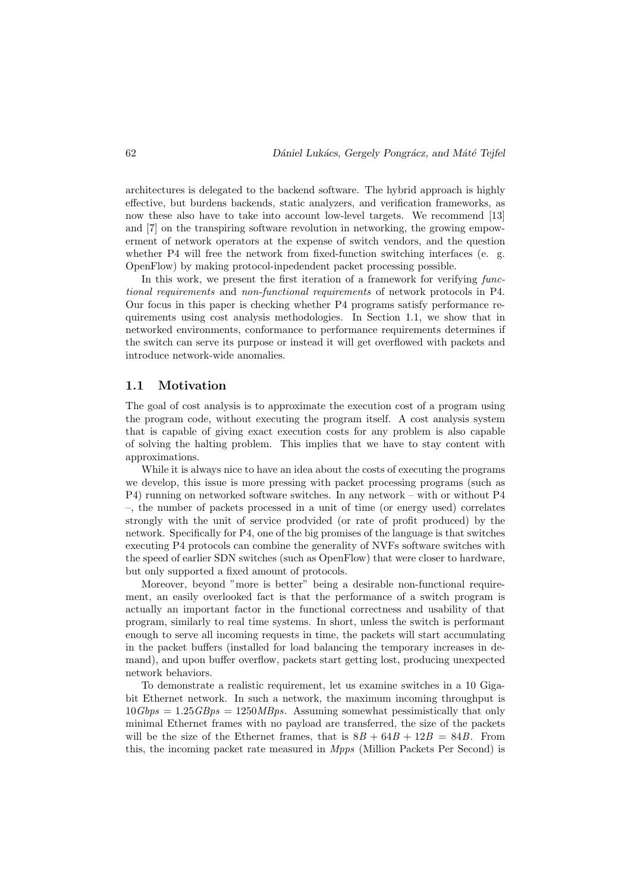architectures is delegated to the backend software. The hybrid approach is highly effective, but burdens backends, static analyzers, and verification frameworks, as now these also have to take into account low-level targets. We recommend [13] and [7] on the transpiring software revolution in networking, the growing empowerment of network operators at the expense of switch vendors, and the question whether P4 will free the network from fixed-function switching interfaces (e. g. OpenFlow) by making protocol-inpedendent packet processing possible.

In this work, we present the first iteration of a framework for verifying functional requirements and non-functional requirements of network protocols in P4. Our focus in this paper is checking whether P4 programs satisfy performance requirements using cost analysis methodologies. In Section 1.1, we show that in networked environments, conformance to performance requirements determines if the switch can serve its purpose or instead it will get overflowed with packets and introduce network-wide anomalies.

#### 1.1 Motivation

The goal of cost analysis is to approximate the execution cost of a program using the program code, without executing the program itself. A cost analysis system that is capable of giving exact execution costs for any problem is also capable of solving the halting problem. This implies that we have to stay content with approximations.

While it is always nice to have an idea about the costs of executing the programs we develop, this issue is more pressing with packet processing programs (such as P4) running on networked software switches. In any network – with or without P4 –, the number of packets processed in a unit of time (or energy used) correlates strongly with the unit of service prodvided (or rate of profit produced) by the network. Specifically for P4, one of the big promises of the language is that switches executing P4 protocols can combine the generality of NVFs software switches with the speed of earlier SDN switches (such as OpenFlow) that were closer to hardware, but only supported a fixed amount of protocols.

Moreover, beyond "more is better" being a desirable non-functional requirement, an easily overlooked fact is that the performance of a switch program is actually an important factor in the functional correctness and usability of that program, similarly to real time systems. In short, unless the switch is performant enough to serve all incoming requests in time, the packets will start accumulating in the packet buffers (installed for load balancing the temporary increases in demand), and upon buffer overflow, packets start getting lost, producing unexpected network behaviors.

To demonstrate a realistic requirement, let us examine switches in a 10 Gigabit Ethernet network. In such a network, the maximum incoming throughput is  $10Gbps = 1.25GBps = 1250MBps$ . Assuming somewhat pessimistically that only minimal Ethernet frames with no payload are transferred, the size of the packets will be the size of the Ethernet frames, that is  $8B + 64B + 12B = 84B$ . From this, the incoming packet rate measured in Mpps (Million Packets Per Second) is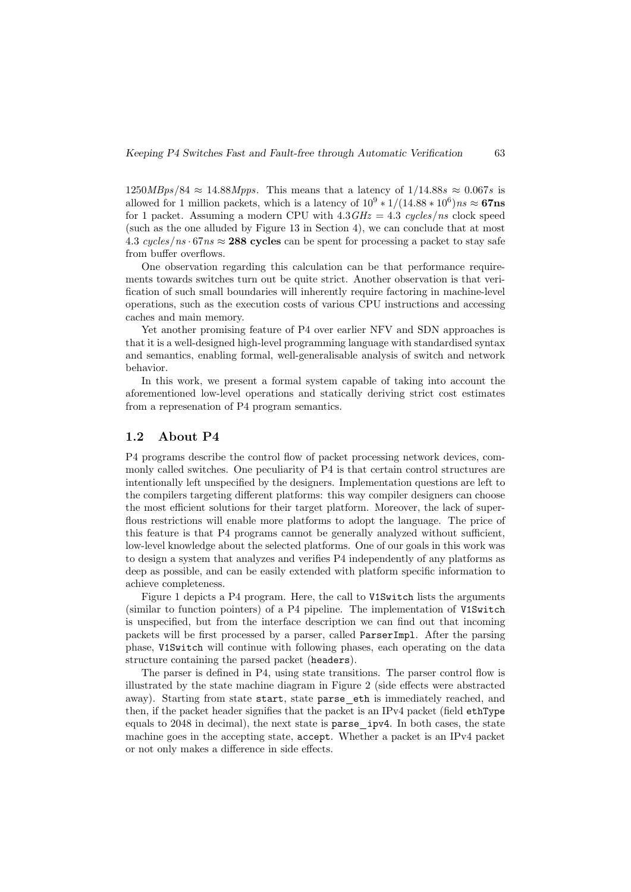$1250MBps/84 \approx 14.88Mpps$ . This means that a latency of  $1/14.88s \approx 0.067s$  is allowed for 1 million packets, which is a latency of  $10^9 * 1/(14.88 * 10^6)$  ns  $\approx 67$  ns for 1 packet. Assuming a modern CPU with  $4.3GHz = 4.3$  cycles/ns clock speed (such as the one alluded by Figure 13 in Section 4), we can conclude that at most 4.3 cycles/ns  $\cdot$  67ns  $\approx$  288 cycles can be spent for processing a packet to stay safe from buffer overflows.

One observation regarding this calculation can be that performance requirements towards switches turn out be quite strict. Another observation is that verification of such small boundaries will inherently require factoring in machine-level operations, such as the execution costs of various CPU instructions and accessing caches and main memory.

Yet another promising feature of P4 over earlier NFV and SDN approaches is that it is a well-designed high-level programming language with standardised syntax and semantics, enabling formal, well-generalisable analysis of switch and network behavior.

In this work, we present a formal system capable of taking into account the aforementioned low-level operations and statically deriving strict cost estimates from a represenation of P4 program semantics.

#### 1.2 About P4

P4 programs describe the control flow of packet processing network devices, commonly called switches. One peculiarity of P4 is that certain control structures are intentionally left unspecified by the designers. Implementation questions are left to the compilers targeting different platforms: this way compiler designers can choose the most efficient solutions for their target platform. Moreover, the lack of superflous restrictions will enable more platforms to adopt the language. The price of this feature is that P4 programs cannot be generally analyzed without sufficient, low-level knowledge about the selected platforms. One of our goals in this work was to design a system that analyzes and verifies P4 independently of any platforms as deep as possible, and can be easily extended with platform specific information to achieve completeness.

Figure 1 depicts a P4 program. Here, the call to V1Switch lists the arguments (similar to function pointers) of a P4 pipeline. The implementation of V1Switch is unspecified, but from the interface description we can find out that incoming packets will be first processed by a parser, called ParserImpl. After the parsing phase, V1Switch will continue with following phases, each operating on the data structure containing the parsed packet (headers).

The parser is defined in P4, using state transitions. The parser control flow is illustrated by the state machine diagram in Figure 2 (side effects were abstracted away). Starting from state start, state parse eth is immediately reached, and then, if the packet header signifies that the packet is an IPv4 packet (field ethType equals to 2048 in decimal), the next state is parse ipv4. In both cases, the state machine goes in the accepting state, accept. Whether a packet is an IPv4 packet or not only makes a difference in side effects.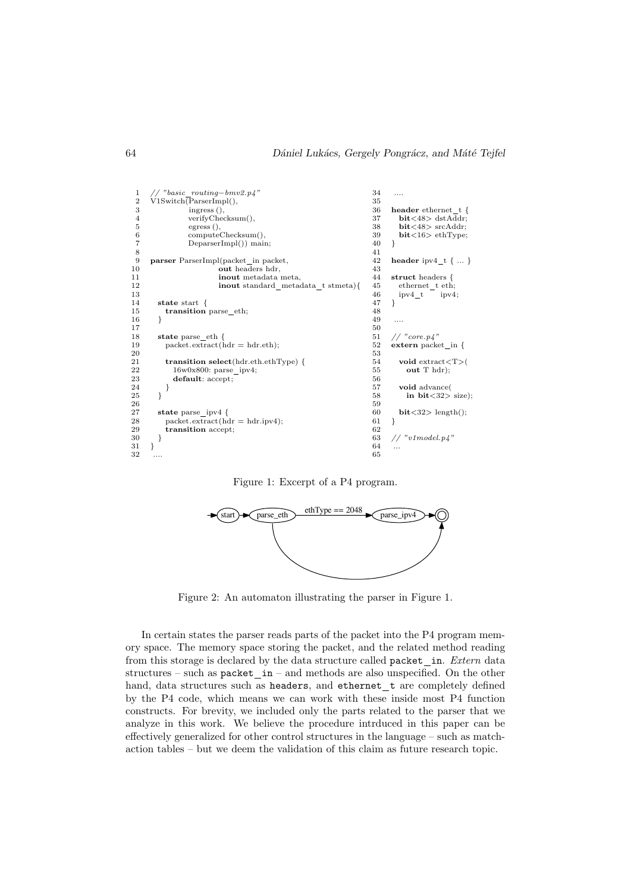

Figure 1: Excerpt of a P4 program.



Figure 2: An automaton illustrating the parser in Figure 1.

In certain states the parser reads parts of the packet into the P4 program memory space. The memory space storing the packet, and the related method reading from this storage is declared by the data structure called packet in. Extern data structures – such as packet in – and methods are also unspecified. On the other hand, data structures such as headers, and ethernet t are completely defined by the P4 code, which means we can work with these inside most P4 function constructs. For brevity, we included only the parts related to the parser that we analyze in this work. We believe the procedure intrduced in this paper can be effectively generalized for other control structures in the language – such as matchaction tables – but we deem the validation of this claim as future research topic.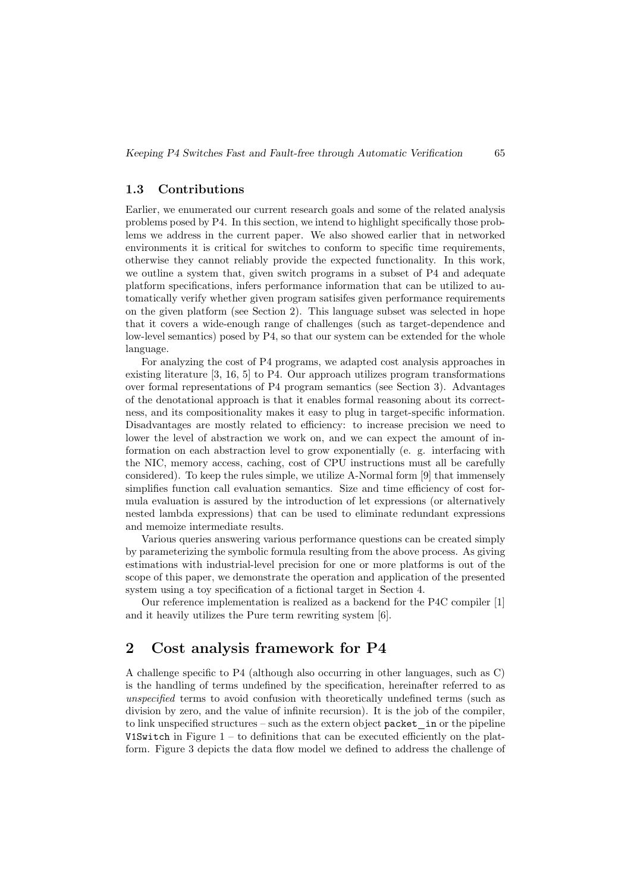#### 1.3 Contributions

Earlier, we enumerated our current research goals and some of the related analysis problems posed by P4. In this section, we intend to highlight specifically those problems we address in the current paper. We also showed earlier that in networked environments it is critical for switches to conform to specific time requirements, otherwise they cannot reliably provide the expected functionality. In this work, we outline a system that, given switch programs in a subset of P4 and adequate platform specifications, infers performance information that can be utilized to automatically verify whether given program satisifes given performance requirements on the given platform (see Section 2). This language subset was selected in hope that it covers a wide-enough range of challenges (such as target-dependence and low-level semantics) posed by P4, so that our system can be extended for the whole language.

For analyzing the cost of P4 programs, we adapted cost analysis approaches in existing literature [3, 16, 5] to P4. Our approach utilizes program transformations over formal representations of P4 program semantics (see Section 3). Advantages of the denotational approach is that it enables formal reasoning about its correctness, and its compositionality makes it easy to plug in target-specific information. Disadvantages are mostly related to efficiency: to increase precision we need to lower the level of abstraction we work on, and we can expect the amount of information on each abstraction level to grow exponentially (e. g. interfacing with the NIC, memory access, caching, cost of CPU instructions must all be carefully considered). To keep the rules simple, we utilize A-Normal form [9] that immensely simplifies function call evaluation semantics. Size and time efficiency of cost formula evaluation is assured by the introduction of let expressions (or alternatively nested lambda expressions) that can be used to eliminate redundant expressions and memoize intermediate results.

Various queries answering various performance questions can be created simply by parameterizing the symbolic formula resulting from the above process. As giving estimations with industrial-level precision for one or more platforms is out of the scope of this paper, we demonstrate the operation and application of the presented system using a toy specification of a fictional target in Section 4.

Our reference implementation is realized as a backend for the P4C compiler [1] and it heavily utilizes the Pure term rewriting system [6].

# 2 Cost analysis framework for P4

A challenge specific to P4 (although also occurring in other languages, such as C) is the handling of terms undefined by the specification, hereinafter referred to as unspecified terms to avoid confusion with theoretically undefined terms (such as division by zero, and the value of infinite recursion). It is the job of the compiler, to link unspecified structures – such as the extern object packet in or the pipeline V1Switch in Figure  $1 -$  to definitions that can be executed efficiently on the platform. Figure 3 depicts the data flow model we defined to address the challenge of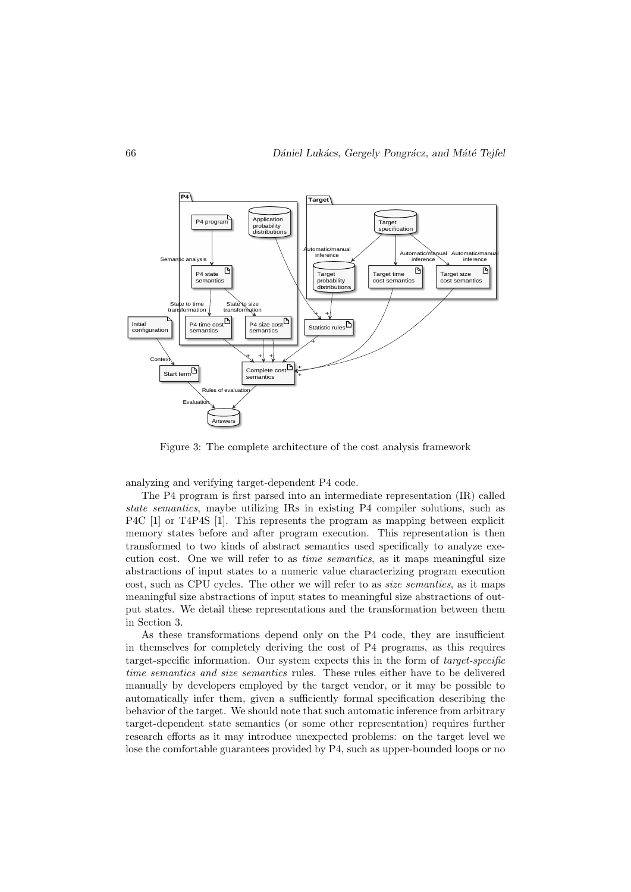

Figure 3: The complete architecture of the cost analysis framework

analyzing and verifying target-dependent P4 code.

The P4 program is first parsed into an intermediate representation (IR) called state semantics, maybe utilizing IRs in existing P4 compiler solutions, such as P4C [1] or T4P4S [1]. This represents the program as mapping between explicit memory states before and after program execution. This representation is then transformed to two kinds of abstract semantics used specifically to analyze execution cost. One we will refer to as time semantics, as it maps meaningful size abstractions of input states to a numeric value characterizing program execution cost, such as CPU cycles. The other we will refer to as size semantics, as it maps meaningful size abstractions of input states to meaningful size abstractions of output states. We detail these representations and the transformation between them in Section 3.

As these transformations depend only on the P4 code, they are insufficient in themselves for completely deriving the cost of P4 programs, as this requires target-specific information. Our system expects this in the form of target-specific time semantics and size semantics rules. These rules either have to be delivered manually by developers employed by the target vendor, or it may be possible to automatically infer them, given a sufficiently formal specification describing the behavior of the target. We should note that such automatic inference from arbitrary target-dependent state semantics (or some other representation) requires further research efforts as it may introduce unexpected problems: on the target level we lose the comfortable guarantees provided by P4, such as upper-bounded loops or no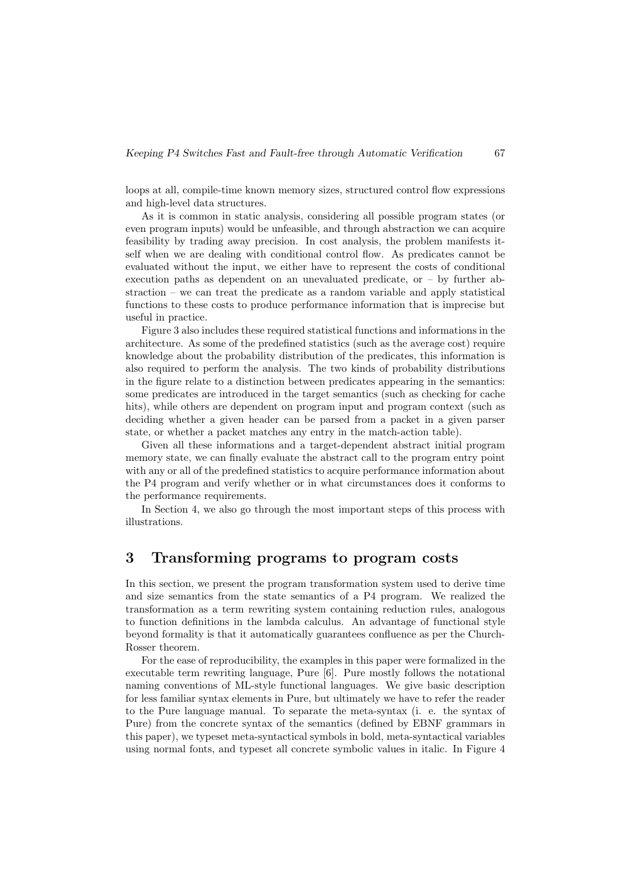loops at all, compile-time known memory sizes, structured control flow expressions and high-level data structures.

As it is common in static analysis, considering all possible program states (or even program inputs) would be unfeasible, and through abstraction we can acquire feasibility by trading away precision. In cost analysis, the problem manifests itself when we are dealing with conditional control flow. As predicates cannot be evaluated without the input, we either have to represent the costs of conditional execution paths as dependent on an unevaluated predicate, or  $-$  by further abstraction – we can treat the predicate as a random variable and apply statistical functions to these costs to produce performance information that is imprecise but useful in practice.

Figure 3 also includes these required statistical functions and informations in the architecture. As some of the predefined statistics (such as the average cost) require knowledge about the probability distribution of the predicates, this information is also required to perform the analysis. The two kinds of probability distributions in the figure relate to a distinction between predicates appearing in the semantics: some predicates are introduced in the target semantics (such as checking for cache hits), while others are dependent on program input and program context (such as deciding whether a given header can be parsed from a packet in a given parser state, or whether a packet matches any entry in the match-action table).

Given all these informations and a target-dependent abstract initial program memory state, we can finally evaluate the abstract call to the program entry point with any or all of the predefined statistics to acquire performance information about the P4 program and verify whether or in what circumstances does it conforms to the performance requirements.

In Section 4, we also go through the most important steps of this process with illustrations.

### 3 Transforming programs to program costs

In this section, we present the program transformation system used to derive time and size semantics from the state semantics of a P4 program. We realized the transformation as a term rewriting system containing reduction rules, analogous to function definitions in the lambda calculus. An advantage of functional style beyond formality is that it automatically guarantees confluence as per the Church-Rosser theorem.

For the ease of reproducibility, the examples in this paper were formalized in the executable term rewriting language, Pure [6]. Pure mostly follows the notational naming conventions of ML-style functional languages. We give basic description for less familiar syntax elements in Pure, but ultimately we have to refer the reader to the Pure language manual. To separate the meta-syntax (i. e. the syntax of Pure) from the concrete syntax of the semantics (defined by EBNF grammars in this paper), we typeset meta-syntactical symbols in bold, meta-syntactical variables using normal fonts, and typeset all concrete symbolic values in italic. In Figure 4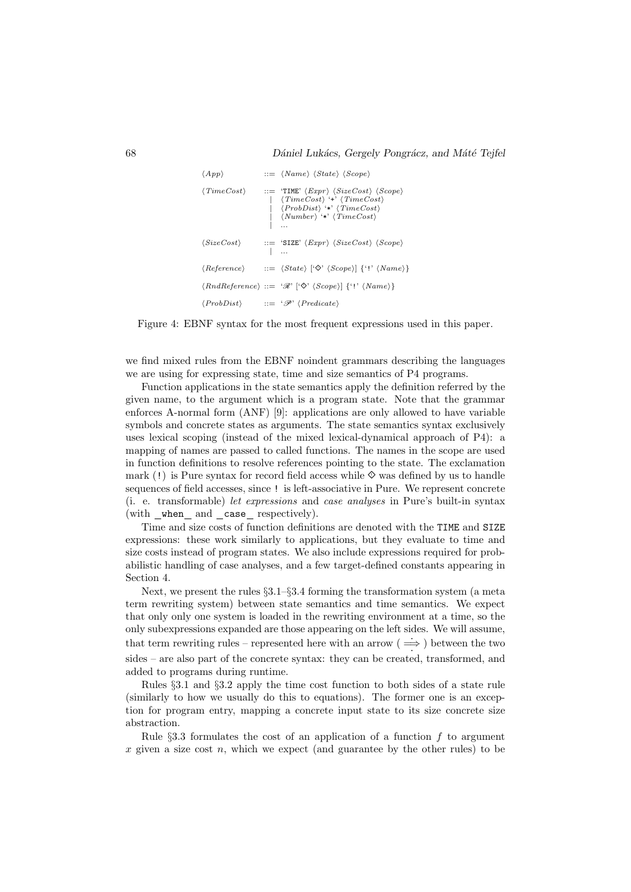$$
\langle App \rangle \qquad ::= \langle Name \rangle \langle State \rangle \langle Score \rangle
$$
\n
$$
\langle TimeCost \rangle \qquad ::= \langle TIME \rangle \langle Expr \rangle \langle SizeCost \rangle \langle Score \rangle
$$
\n
$$
\qquad \qquad \langle TimeCost \rangle \langle + \langle TimeCost \rangle
$$
\n
$$
\qquad \qquad \langle Number \rangle \langle + \langle TimeCost \rangle
$$
\n
$$
\qquad \qquad \langle Number \rangle \langle TimeCost \rangle
$$
\n
$$
\qquad \qquad \langle SizeCost \rangle \qquad ::= \langle SIZE \rangle \langle Expr \rangle \langle SizeCost \rangle \langle Score \rangle
$$
\n
$$
\qquad \qquad \vdots
$$
\n
$$
\langle Reference \rangle \qquad ::= \langle State \rangle [\langle \Phi \rangle \langle Score \rangle] \{ \langle \cdot \rangle \langle Name \rangle \}
$$
\n
$$
\langle RandomReference \rangle \qquad ::= \langle \mathcal{F} \rangle \langle Score \rangle] \{ \langle \cdot \rangle \langle Name \rangle \}
$$
\n
$$
\langle ProbDist \rangle \qquad ::= \langle \mathcal{F} \rangle \langle Predicte \rangle
$$

Figure 4: EBNF syntax for the most frequent expressions used in this paper.

we find mixed rules from the EBNF noindent grammars describing the languages we are using for expressing state, time and size semantics of P4 programs.

Function applications in the state semantics apply the definition referred by the given name, to the argument which is a program state. Note that the grammar enforces A-normal form (ANF) [9]: applications are only allowed to have variable symbols and concrete states as arguments. The state semantics syntax exclusively uses lexical scoping (instead of the mixed lexical-dynamical approach of P4): a mapping of names are passed to called functions. The names in the scope are used in function definitions to resolve references pointing to the state. The exclamation mark (!) is Pure syntax for record field access while  $\otimes$  was defined by us to handle sequences of field accesses, since ! is left-associative in Pure. We represent concrete (i. e. transformable) let expressions and case analyses in Pure's built-in syntax (with when and case respectively).

Time and size costs of function definitions are denoted with the TIME and SIZE expressions: these work similarly to applications, but they evaluate to time and size costs instead of program states. We also include expressions required for probabilistic handling of case analyses, and a few target-defined constants appearing in Section 4.

Next, we present the rules §3.1–§3.4 forming the transformation system (a meta term rewriting system) between state semantics and time semantics. We expect that only only one system is loaded in the rewriting environment at a time, so the only subexpressions expanded are those appearing on the left sides. We will assume, that term rewriting rules – represented here with an arrow ( $\implies$ ) between the two sides – are also part of the concrete syntax: they can be created, transformed, and added to programs during runtime.

Rules §3.1 and §3.2 apply the time cost function to both sides of a state rule (similarly to how we usually do this to equations). The former one is an exception for program entry, mapping a concrete input state to its size concrete size abstraction.

Rule  $\S 3.3$  formulates the cost of an application of a function f to argument x given a size cost n, which we expect (and guarantee by the other rules) to be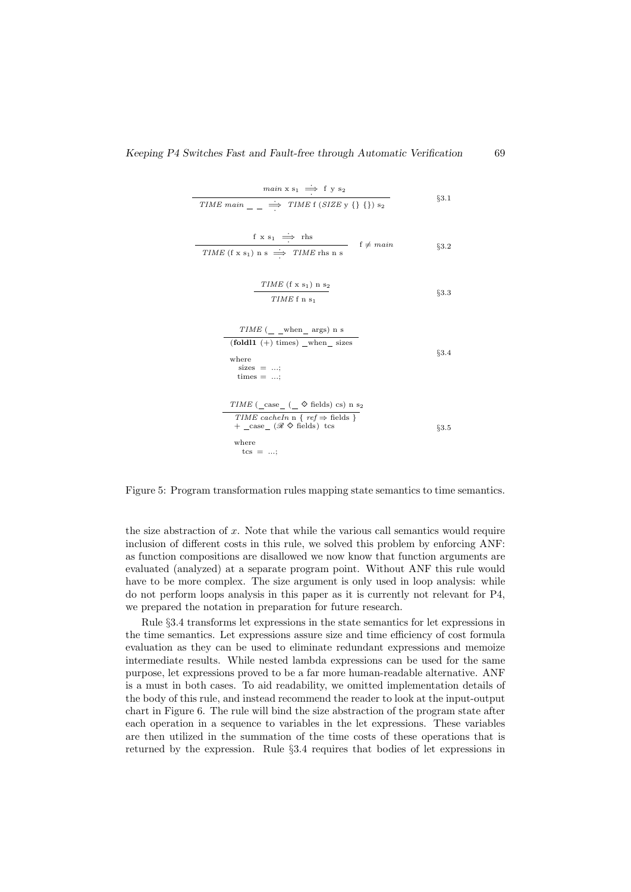| $\textit{main} \ x \ s_1 \implies \textit{f} \ y \ s_2$                                                                                                                                              |         |  |
|------------------------------------------------------------------------------------------------------------------------------------------------------------------------------------------------------|---------|--|
| TIME main $\_\ \_\ \implies$ TIME f (SIZE y {} {}) s <sub>2</sub>                                                                                                                                    | §3.1    |  |
|                                                                                                                                                                                                      |         |  |
| $\begin{array}{cccl}\n & & \mbox{f x s_1} & \Longrightarrow & \mbox{rhs} \\  \hline\n & & \mbox{TIME (f x s_1) n s} & \Longrightarrow & \mbox{TIME n s} & \mbox{f} \neq \textit{main}\n \end{array}$ |         |  |
|                                                                                                                                                                                                      | §3.2    |  |
|                                                                                                                                                                                                      |         |  |
| TIME $(f \times s_1)$ n $s_2$                                                                                                                                                                        |         |  |
| $TIME f n s_1$                                                                                                                                                                                       | $\S3.3$ |  |
|                                                                                                                                                                                                      |         |  |
| $TIME (\_\_when \_\nargs)$ n s                                                                                                                                                                       |         |  |
| $(fold1 (+) times)$ when sizes                                                                                                                                                                       |         |  |
| where                                                                                                                                                                                                | §3.4    |  |
| $\text{sizes} = \dots;$<br>$times = $                                                                                                                                                                |         |  |
|                                                                                                                                                                                                      |         |  |
| TIME ( $\csc$ $\phi$ fields) cs) n s <sub>2</sub>                                                                                                                                                    |         |  |
| TIME cacheIn $\{ref \Rightarrow fields\}$                                                                                                                                                            |         |  |
| $+$ _case_ $(\mathcal{R} \diamondsuit$ fields) tcs                                                                                                                                                   | §3.5    |  |
| where<br>$\text{tcs} = ;$                                                                                                                                                                            |         |  |

Figure 5: Program transformation rules mapping state semantics to time semantics.

the size abstraction of  $x$ . Note that while the various call semantics would require inclusion of different costs in this rule, we solved this problem by enforcing ANF: as function compositions are disallowed we now know that function arguments are evaluated (analyzed) at a separate program point. Without ANF this rule would have to be more complex. The size argument is only used in loop analysis: while do not perform loops analysis in this paper as it is currently not relevant for P4, we prepared the notation in preparation for future research.

Rule §3.4 transforms let expressions in the state semantics for let expressions in the time semantics. Let expressions assure size and time efficiency of cost formula evaluation as they can be used to eliminate redundant expressions and memoize intermediate results. While nested lambda expressions can be used for the same purpose, let expressions proved to be a far more human-readable alternative. ANF is a must in both cases. To aid readability, we omitted implementation details of the body of this rule, and instead recommend the reader to look at the input-output chart in Figure 6. The rule will bind the size abstraction of the program state after each operation in a sequence to variables in the let expressions. These variables are then utilized in the summation of the time costs of these operations that is returned by the expression. Rule §3.4 requires that bodies of let expressions in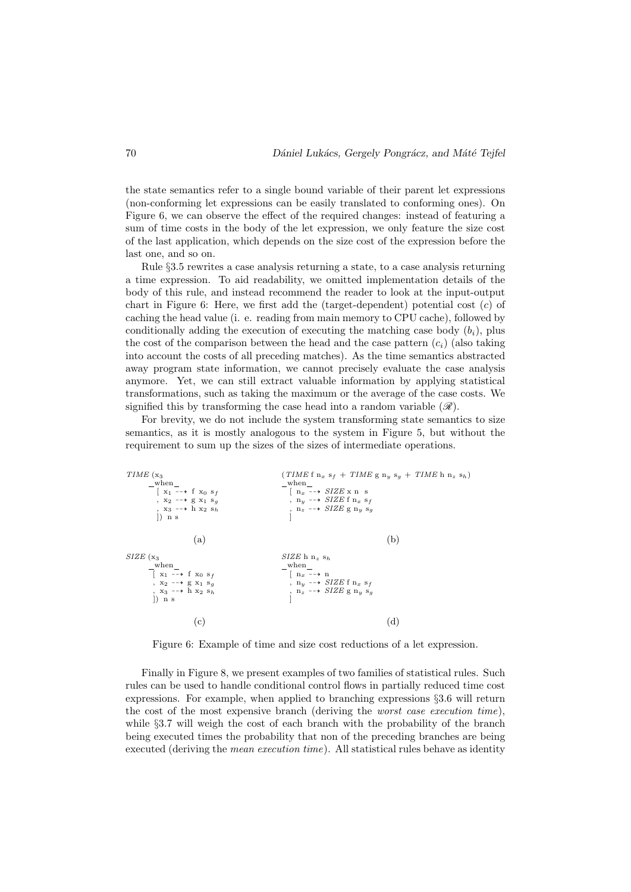the state semantics refer to a single bound variable of their parent let expressions (non-conforming let expressions can be easily translated to conforming ones). On Figure 6, we can observe the effect of the required changes: instead of featuring a sum of time costs in the body of the let expression, we only feature the size cost of the last application, which depends on the size cost of the expression before the last one, and so on.

Rule §3.5 rewrites a case analysis returning a state, to a case analysis returning a time expression. To aid readability, we omitted implementation details of the body of this rule, and instead recommend the reader to look at the input-output chart in Figure 6: Here, we first add the (target-dependent) potential cost  $(c)$  of caching the head value (i. e. reading from main memory to CPU cache), followed by conditionally adding the execution of executing the matching case body  $(b_i)$ , plus the cost of the comparison between the head and the case pattern  $(c_i)$  (also taking into account the costs of all preceding matches). As the time semantics abstracted away program state information, we cannot precisely evaluate the case analysis anymore. Yet, we can still extract valuable information by applying statistical transformations, such as taking the maximum or the average of the case costs. We signified this by transforming the case head into a random variable  $(\mathscr{R})$ .

For brevity, we do not include the system transforming state semantics to size semantics, as it is mostly analogous to the system in Figure 5, but without the requirement to sum up the sizes of the sizes of intermediate operations.



Figure 6: Example of time and size cost reductions of a let expression.

Finally in Figure 8, we present examples of two families of statistical rules. Such rules can be used to handle conditional control flows in partially reduced time cost expressions. For example, when applied to branching expressions §3.6 will return the cost of the most expensive branch (deriving the worst case execution time), while §3.7 will weigh the cost of each branch with the probability of the branch being executed times the probability that non of the preceding branches are being executed (deriving the *mean execution time*). All statistical rules behave as identity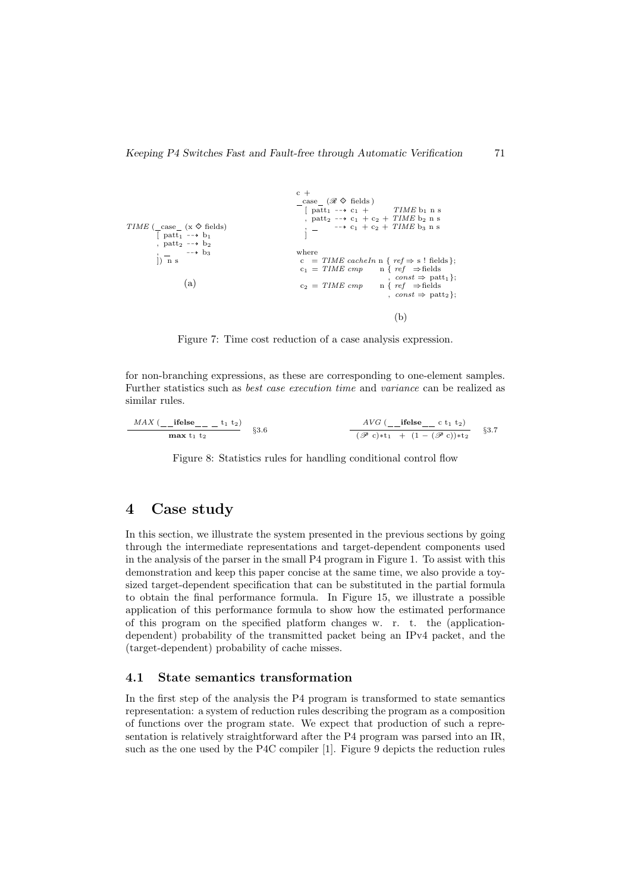

Figure 7: Time cost reduction of a case analysis expression.

for non-branching expressions, as these are corresponding to one-element samples. Further statistics such as best case execution time and variance can be realized as similar rules.

$$
\frac{MAX \ (\_\_ \text{ifelse}\_\_\_\_\text{max} t_1 t_2)}{max \ t_1 \ t_2} \quad \text{§3.6} \qquad \frac{AVG \ (\_\_ \text{ifelse}\_\_\text{max} t_1 t_2)}{(\mathscr{P} \ c) * t_1 \ + \ (1 - (\mathscr{P} \ c)) * t_2} \quad \text{§3.7}
$$

Figure 8: Statistics rules for handling conditional control flow

# 4 Case study

In this section, we illustrate the system presented in the previous sections by going through the intermediate representations and target-dependent components used in the analysis of the parser in the small P4 program in Figure 1. To assist with this demonstration and keep this paper concise at the same time, we also provide a toysized target-dependent specification that can be substituted in the partial formula to obtain the final performance formula. In Figure 15, we illustrate a possible application of this performance formula to show how the estimated performance of this program on the specified platform changes w. r. t. the (applicationdependent) probability of the transmitted packet being an IPv4 packet, and the (target-dependent) probability of cache misses.

### 4.1 State semantics transformation

In the first step of the analysis the P4 program is transformed to state semantics representation: a system of reduction rules describing the program as a composition of functions over the program state. We expect that production of such a representation is relatively straightforward after the P4 program was parsed into an IR, such as the one used by the P4C compiler [1]. Figure 9 depicts the reduction rules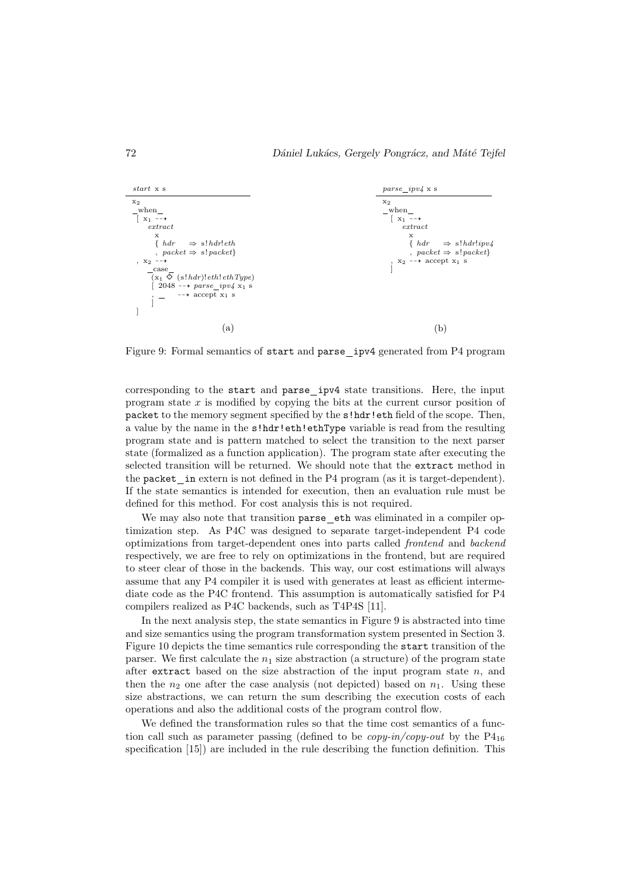

Figure 9: Formal semantics of start and parse ipv4 generated from P4 program

corresponding to the start and parse ipv4 state transitions. Here, the input program state  $x$  is modified by copying the bits at the current cursor position of packet to the memory segment specified by the s!hdr!eth field of the scope. Then, a value by the name in the s!hdr!eth!ethType variable is read from the resulting program state and is pattern matched to select the transition to the next parser state (formalized as a function application). The program state after executing the selected transition will be returned. We should note that the extract method in the packet in extern is not defined in the P4 program (as it is target-dependent). If the state semantics is intended for execution, then an evaluation rule must be defined for this method. For cost analysis this is not required.

We may also note that transition parse eth was eliminated in a compiler optimization step. As P4C was designed to separate target-independent P4 code optimizations from target-dependent ones into parts called frontend and backend respectively, we are free to rely on optimizations in the frontend, but are required to steer clear of those in the backends. This way, our cost estimations will always assume that any P4 compiler it is used with generates at least as efficient intermediate code as the P4C frontend. This assumption is automatically satisfied for P4 compilers realized as P4C backends, such as T4P4S [11].

In the next analysis step, the state semantics in Figure 9 is abstracted into time and size semantics using the program transformation system presented in Section 3. Figure 10 depicts the time semantics rule corresponding the start transition of the parser. We first calculate the  $n_1$  size abstraction (a structure) of the program state after extract based on the size abstraction of the input program state  $n$ , and then the  $n_2$  one after the case analysis (not depicted) based on  $n_1$ . Using these size abstractions, we can return the sum describing the execution costs of each operations and also the additional costs of the program control flow.

We defined the transformation rules so that the time cost semantics of a function call such as parameter passing (defined to be *copy-in/copy-out* by the  $P4_{16}$ specification [15]) are included in the rule describing the function definition. This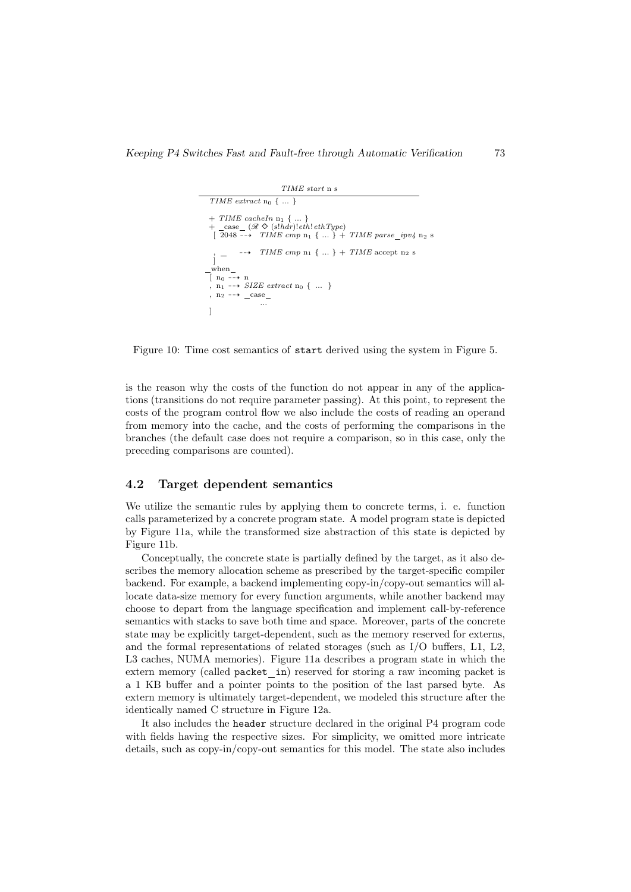

Figure 10: Time cost semantics of start derived using the system in Figure 5.

is the reason why the costs of the function do not appear in any of the applications (transitions do not require parameter passing). At this point, to represent the costs of the program control flow we also include the costs of reading an operand from memory into the cache, and the costs of performing the comparisons in the branches (the default case does not require a comparison, so in this case, only the preceding comparisons are counted).

#### 4.2 Target dependent semantics

We utilize the semantic rules by applying them to concrete terms, i. e. function calls parameterized by a concrete program state. A model program state is depicted by Figure 11a, while the transformed size abstraction of this state is depicted by Figure 11b.

Conceptually, the concrete state is partially defined by the target, as it also describes the memory allocation scheme as prescribed by the target-specific compiler backend. For example, a backend implementing copy-in/copy-out semantics will allocate data-size memory for every function arguments, while another backend may choose to depart from the language specification and implement call-by-reference semantics with stacks to save both time and space. Moreover, parts of the concrete state may be explicitly target-dependent, such as the memory reserved for externs, and the formal representations of related storages (such as I/O buffers, L1, L2, L3 caches, NUMA memories). Figure 11a describes a program state in which the extern memory (called packet in) reserved for storing a raw incoming packet is a 1 KB buffer and a pointer points to the position of the last parsed byte. As extern memory is ultimately target-dependent, we modeled this structure after the identically named C structure in Figure 12a.

It also includes the header structure declared in the original P4 program code with fields having the respective sizes. For simplicity, we omitted more intricate details, such as copy-in/copy-out semantics for this model. The state also includes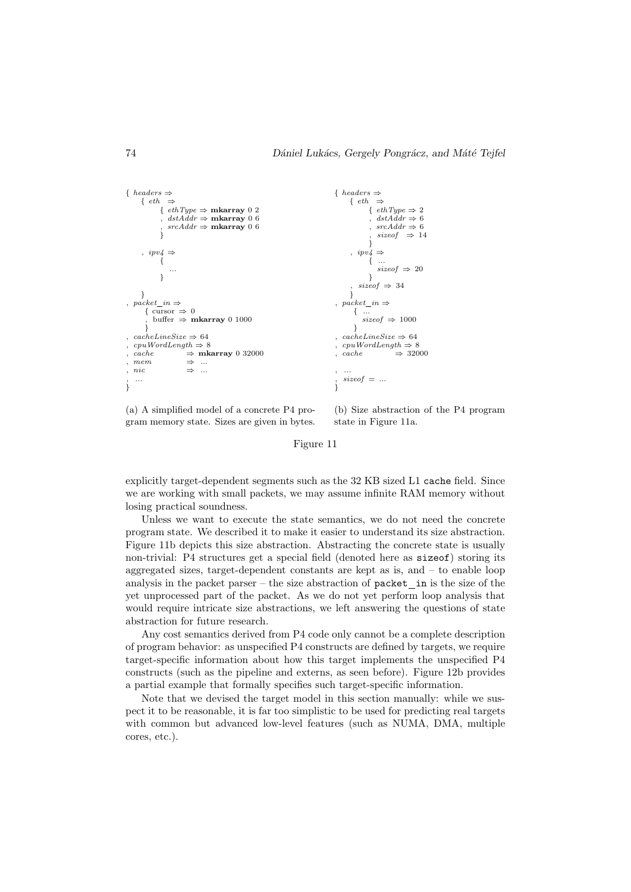```
\{ headers \Rightarrow\{ \text{ } \in \mathbb{R} \} \Rightarrow\{ \text{ <i>ethType</i> <math>\Rightarrow</math> <b>mkarray</b> 0 2dstAddr \Rightarrow mkarray 0 6
                    srcAddr \Rightarrow \bf{mkarray}0 6
                 }
        , ipv4 ⇒
                 {
                      ...
                 }
       }
   packet\_in \Rightarrow\overline{\{ \text{ cursor } \Rightarrow 0\}}buffer \Rightarrow mkarray 0 1000
, \, cacheLineSize \Rightarrow 64, cpuWordLength ⇒ 8<br>cache ⇒ mk
                              \Rightarrow mkarray 0 32000
   \begin{array}{rclclclcl} & mem & \Rightarrow & \ldots \end{array}, nic ⇒ ...
    , ...
}
                                                                                                           { headers ⇒
                                                                                                                  \{ \text{ } \text{ } \epsilon \text{ } \text{ } \text{ } \epsilon \text{ } \text{ } \text{ } \text{ } \text{ } \Rightarrow\{ \text{ } \in \mathit{thType} \Rightarrow 2, dstAddr \Rightarrow 6, srcAddr ⇒ 6
                                                                                                                                size of \Rightarrow 14}<br>
, ipv4 ⇒
                                                                                                                            { ...
                                                                                                                                sizeof \Rightarrow 20
                                                                                                                            }
                                                                                                                      size of \Rightarrow 34}
                                                                                                           , packet\_in ⇒
                                                                                                                    { ...
                                                                                                                        sizeof \Rightarrow 1000
                                                                                                                    }
                                                                                                           , \ cacheLineSize \Rightarrow 64, cpuWordLength \Rightarrow 8<br>
, cache \Rightarrow 320\Rightarrow 32000
                                                                                                           , \ldots<br>, sizeof = ...}
```
(a) A simplified model of a concrete P4 program memory state. Sizes are given in bytes.

(b) Size abstraction of the P4 program state in Figure 11a.

Figure 11

explicitly target-dependent segments such as the 32 KB sized L1 cache field. Since we are working with small packets, we may assume infinite RAM memory without losing practical soundness.

Unless we want to execute the state semantics, we do not need the concrete program state. We described it to make it easier to understand its size abstraction. Figure 11b depicts this size abstraction. Abstracting the concrete state is usually non-trivial: P4 structures get a special field (denoted here as sizeof) storing its aggregated sizes, target-dependent constants are kept as is, and – to enable loop analysis in the packet parser – the size abstraction of packet in is the size of the yet unprocessed part of the packet. As we do not yet perform loop analysis that would require intricate size abstractions, we left answering the questions of state abstraction for future research.

Any cost semantics derived from P4 code only cannot be a complete description of program behavior: as unspecified P4 constructs are defined by targets, we require target-specific information about how this target implements the unspecified P4 constructs (such as the pipeline and externs, as seen before). Figure 12b provides a partial example that formally specifies such target-specific information.

Note that we devised the target model in this section manually: while we suspect it to be reasonable, it is far too simplistic to be used for predicting real targets with common but advanced low-level features (such as NUMA, DMA, multiple cores, etc.).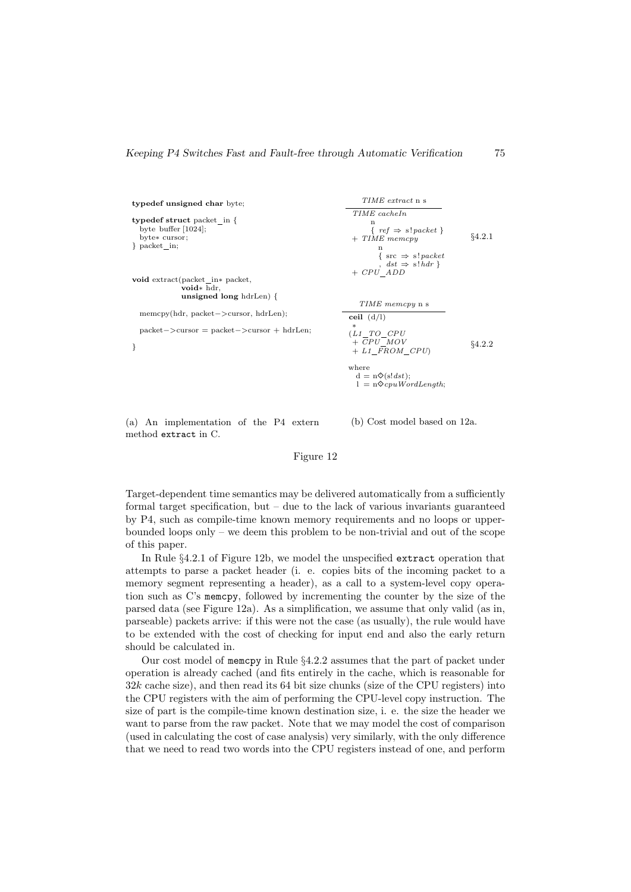| typedef unsigned char byte;                                                                                      | <i>TIME extract</i> n s                                                                                                                                                   |        |
|------------------------------------------------------------------------------------------------------------------|---------------------------------------------------------------------------------------------------------------------------------------------------------------------------|--------|
| typedef struct packet in $\{$<br>byte buffer $[1024]$ ;<br>byte* cursor;<br>} packet in;                         | TIME cacheIn<br>n<br>$\{ref \Rightarrow s! packet\}$<br>$+$ TIME memcpy<br>n<br>$\{ \text{src} \Rightarrow \text{s! packet} \}$<br>$dst \Rightarrow s!hdr$<br>$+$ CPU ADD | §4.2.1 |
| void extract(packet_in* packet,<br>void* hdr.<br>unsigned long hdrLen $\}$ {                                     | TIME memcpy n s                                                                                                                                                           |        |
| $memory(hdr, packet->cursor, hdrLen);$<br>$packet$ $\gt$ cursor = packet $\gt$ cursor + hdrLen;<br>$\mathcal{F}$ | ceil $(d/l)$<br>$\ast$<br>(L1 TO CPU<br>$+$ CPU MOV<br>$+ L1$ FROM CPU)                                                                                                   | §4.2.2 |
|                                                                                                                  | where<br>$d = n \hat{\diamond} (s! ds)$ ;<br>$1 = n \diamond cpuWordLength$                                                                                               |        |

(a) An implementation of the P4 extern method extract in C.

(b) Cost model based on 12a.

#### Figure 12

Target-dependent time semantics may be delivered automatically from a sufficiently formal target specification, but – due to the lack of various invariants guaranteed by P4, such as compile-time known memory requirements and no loops or upperbounded loops only – we deem this problem to be non-trivial and out of the scope of this paper.

In Rule §4.2.1 of Figure 12b, we model the unspecified extract operation that attempts to parse a packet header (i. e. copies bits of the incoming packet to a memory segment representing a header), as a call to a system-level copy operation such as C's memcpy, followed by incrementing the counter by the size of the parsed data (see Figure 12a). As a simplification, we assume that only valid (as in, parseable) packets arrive: if this were not the case (as usually), the rule would have to be extended with the cost of checking for input end and also the early return should be calculated in.

Our cost model of memcpy in Rule §4.2.2 assumes that the part of packet under operation is already cached (and fits entirely in the cache, which is reasonable for  $32k$  cache size), and then read its 64 bit size chunks (size of the CPU registers) into the CPU registers with the aim of performing the CPU-level copy instruction. The size of part is the compile-time known destination size, i. e. the size the header we want to parse from the raw packet. Note that we may model the cost of comparison (used in calculating the cost of case analysis) very similarly, with the only difference that we need to read two words into the CPU registers instead of one, and perform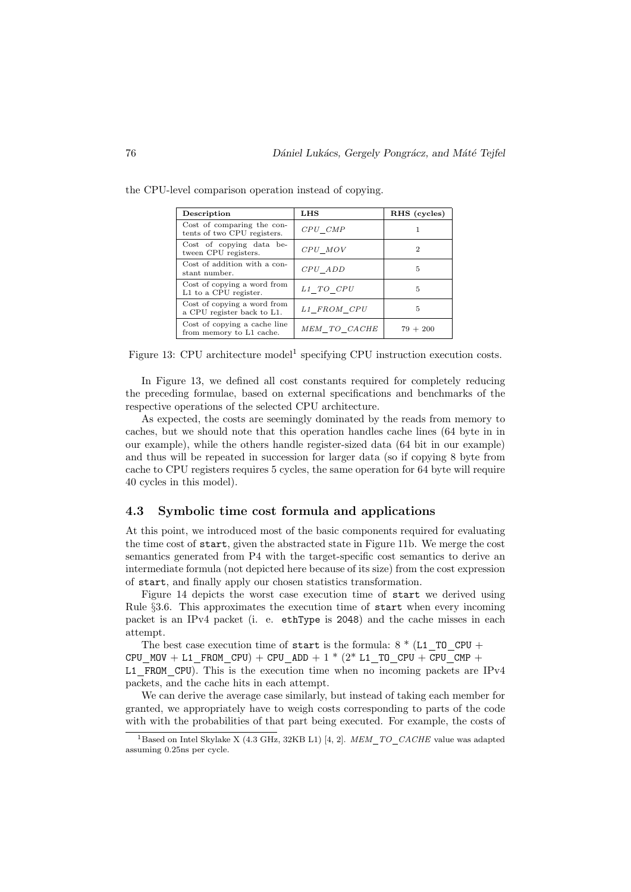| LHS          | RHS (cycles) |
|--------------|--------------|
| CPU CMP      |              |
| CPU MOV      | 2            |
| CPU ADD      | 5            |
| L1 TO CPU    | 5            |
| L1 FROM CPU  | 5            |
| MEM TO CACHE | $79 + 200$   |
|              |              |

the CPU-level comparison operation instead of copying.

Figure 13: CPU architecture model<sup>1</sup> specifying CPU instruction execution costs.

In Figure 13, we defined all cost constants required for completely reducing the preceding formulae, based on external specifications and benchmarks of the respective operations of the selected CPU architecture.

As expected, the costs are seemingly dominated by the reads from memory to caches, but we should note that this operation handles cache lines (64 byte in in our example), while the others handle register-sized data (64 bit in our example) and thus will be repeated in succession for larger data (so if copying 8 byte from cache to CPU registers requires 5 cycles, the same operation for 64 byte will require 40 cycles in this model).

#### 4.3 Symbolic time cost formula and applications

At this point, we introduced most of the basic components required for evaluating the time cost of start, given the abstracted state in Figure 11b. We merge the cost semantics generated from P4 with the target-specific cost semantics to derive an intermediate formula (not depicted here because of its size) from the cost expression of start, and finally apply our chosen statistics transformation.

Figure 14 depicts the worst case execution time of start we derived using Rule §3.6. This approximates the execution time of start when every incoming packet is an IPv4 packet (i. e. ethType is 2048) and the cache misses in each attempt.

The best case execution time of start is the formula:  $8 * (L1 T0 CPU +$ CPU MOV + L1 FROM CPU) + CPU ADD + 1 \*  $(2^*$  L1 TO CPU + CPU CMP + L1 FROM CPU). This is the execution time when no incoming packets are IPv4 packets, and the cache hits in each attempt.

We can derive the average case similarly, but instead of taking each member for granted, we appropriately have to weigh costs corresponding to parts of the code with with the probabilities of that part being executed. For example, the costs of

<sup>&</sup>lt;sup>1</sup>Based on Intel Skylake X (4.3 GHz, 32KB L1) [4, 2].  $MEM\_TO\_CACHE$  value was adapted assuming 0.25ns per cycle.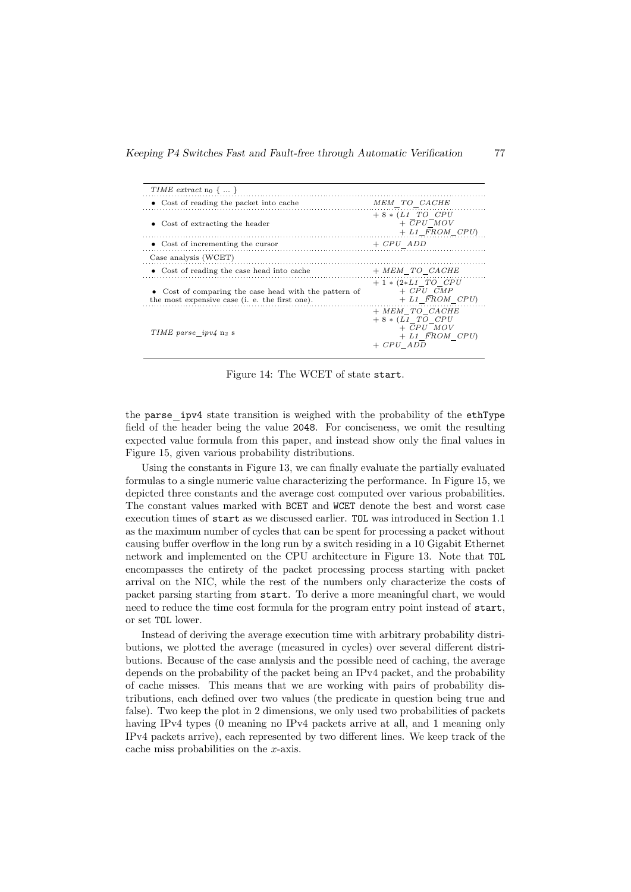| TIME extract $n_0 \, \{ \, \dots \, \}$                                                                 |                                                                                      |
|---------------------------------------------------------------------------------------------------------|--------------------------------------------------------------------------------------|
| • Cost of reading the packet into cache                                                                 | MEM TO CACHE                                                                         |
| • Cost of extracting the header                                                                         | $+8*(L1$ TO CPU<br>$+$ CPU MOV<br>$+ L1$ FROM CPU)                                   |
| • Cost of incrementing the cursor                                                                       | $+$ CPU ADD                                                                          |
| Case analysis (WCET)                                                                                    |                                                                                      |
| • Cost of reading the case head into cache                                                              | $+$ MEM TO CACHE                                                                     |
| • Cost of comparing the case head with the pattern of<br>the most expensive case (i. e. the first one). | $+ 1 * (2 * L1 TO CPU$<br>$+$ CPU CMP<br>$+ L1$ FROM CPU                             |
| TIME parse $ipv/4$ n <sub>2</sub> s                                                                     | $+$ MEM TO CACHE<br>$+8*(L1$ TO CPU<br>$+$ CPU MOV<br>$+ L1$ FROM CPU<br>$+$ CPU ADD |

Figure 14: The WCET of state start.

the parse ipv4 state transition is weighed with the probability of the ethType field of the header being the value 2048. For conciseness, we omit the resulting expected value formula from this paper, and instead show only the final values in Figure 15, given various probability distributions.

Using the constants in Figure 13, we can finally evaluate the partially evaluated formulas to a single numeric value characterizing the performance. In Figure 15, we depicted three constants and the average cost computed over various probabilities. The constant values marked with BCET and WCET denote the best and worst case execution times of start as we discussed earlier. TOL was introduced in Section 1.1 as the maximum number of cycles that can be spent for processing a packet without causing buffer overflow in the long run by a switch residing in a 10 Gigabit Ethernet network and implemented on the CPU architecture in Figure 13. Note that TOL encompasses the entirety of the packet processing process starting with packet arrival on the NIC, while the rest of the numbers only characterize the costs of packet parsing starting from start. To derive a more meaningful chart, we would need to reduce the time cost formula for the program entry point instead of start, or set TOL lower.

Instead of deriving the average execution time with arbitrary probability distributions, we plotted the average (measured in cycles) over several different distributions. Because of the case analysis and the possible need of caching, the average depends on the probability of the packet being an IPv4 packet, and the probability of cache misses. This means that we are working with pairs of probability distributions, each defined over two values (the predicate in question being true and false). Two keep the plot in 2 dimensions, we only used two probabilities of packets having IPv4 types (0 meaning no IPv4 packets arrive at all, and 1 meaning only IPv4 packets arrive), each represented by two different lines. We keep track of the cache miss probabilities on the x-axis.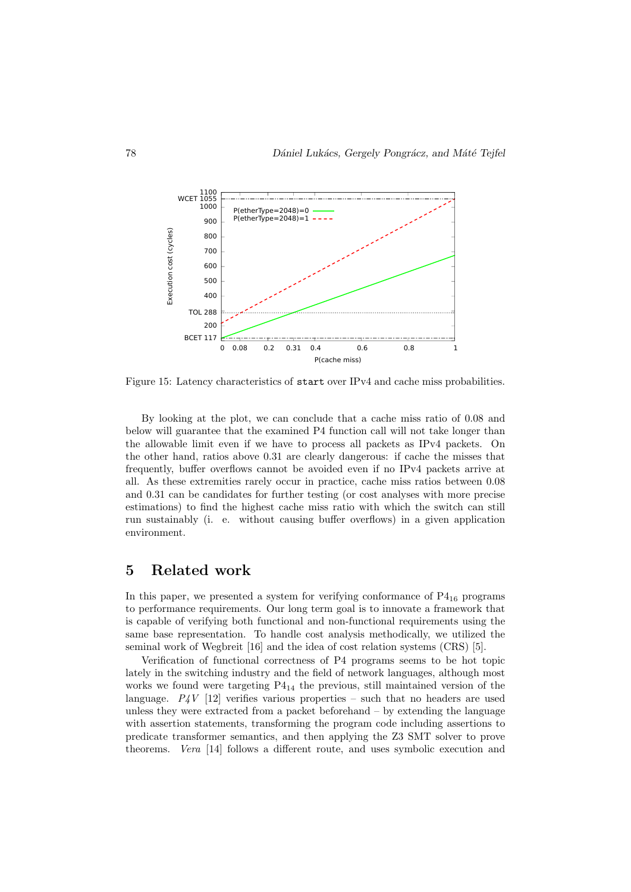

Figure 15: Latency characteristics of start over IPv4 and cache miss probabilities.

By looking at the plot, we can conclude that a cache miss ratio of 0.08 and below will guarantee that the examined P4 function call will not take longer than the allowable limit even if we have to process all packets as IPv4 packets. On the other hand, ratios above 0.31 are clearly dangerous: if cache the misses that frequently, buffer overflows cannot be avoided even if no IPv4 packets arrive at all. As these extremities rarely occur in practice, cache miss ratios between 0.08 and 0.31 can be candidates for further testing (or cost analyses with more precise estimations) to find the highest cache miss ratio with which the switch can still run sustainably (i. e. without causing buffer overflows) in a given application environment.

### 5 Related work

In this paper, we presented a system for verifying conformance of  $P4_{16}$  programs to performance requirements. Our long term goal is to innovate a framework that is capable of verifying both functional and non-functional requirements using the same base representation. To handle cost analysis methodically, we utilized the seminal work of Wegbreit [16] and the idea of cost relation systems (CRS) [5].

Verification of functional correctness of P4 programs seems to be hot topic lately in the switching industry and the field of network languages, although most works we found were targeting  $P4_{14}$  the previous, still maintained version of the language.  $P4V$  [12] verifies various properties – such that no headers are used unless they were extracted from a packet beforehand – by extending the language with assertion statements, transforming the program code including assertions to predicate transformer semantics, and then applying the Z3 SMT solver to prove theorems. Vera [14] follows a different route, and uses symbolic execution and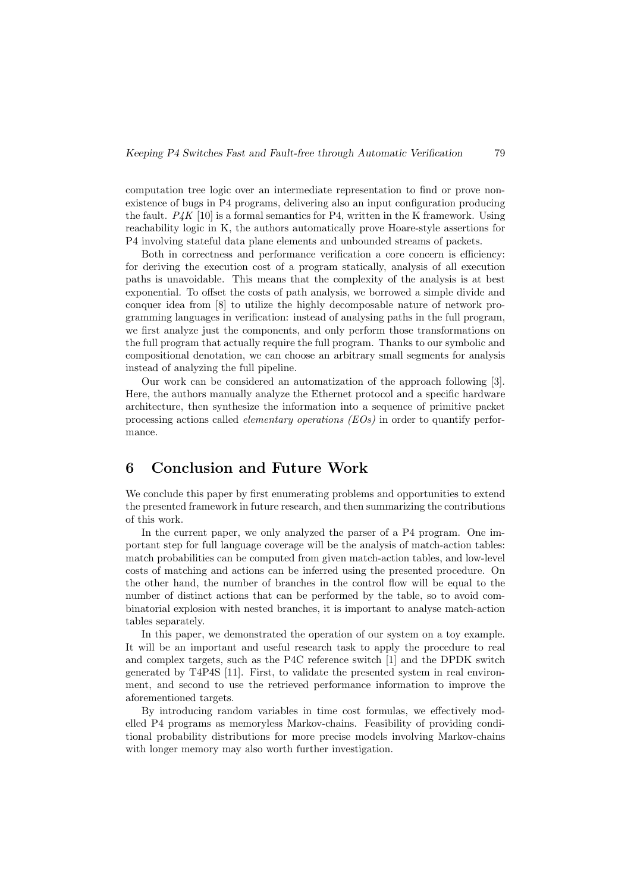computation tree logic over an intermediate representation to find or prove nonexistence of bugs in P4 programs, delivering also an input configuration producing the fault.  $P\cancel{4K}$  [10] is a formal semantics for P4, written in the K framework. Using reachability logic in K, the authors automatically prove Hoare-style assertions for P4 involving stateful data plane elements and unbounded streams of packets.

Both in correctness and performance verification a core concern is efficiency: for deriving the execution cost of a program statically, analysis of all execution paths is unavoidable. This means that the complexity of the analysis is at best exponential. To offset the costs of path analysis, we borrowed a simple divide and conquer idea from [8] to utilize the highly decomposable nature of network programming languages in verification: instead of analysing paths in the full program, we first analyze just the components, and only perform those transformations on the full program that actually require the full program. Thanks to our symbolic and compositional denotation, we can choose an arbitrary small segments for analysis instead of analyzing the full pipeline.

Our work can be considered an automatization of the approach following [3]. Here, the authors manually analyze the Ethernet protocol and a specific hardware architecture, then synthesize the information into a sequence of primitive packet processing actions called elementary operations (EOs) in order to quantify performance.

# 6 Conclusion and Future Work

We conclude this paper by first enumerating problems and opportunities to extend the presented framework in future research, and then summarizing the contributions of this work.

In the current paper, we only analyzed the parser of a P4 program. One important step for full language coverage will be the analysis of match-action tables: match probabilities can be computed from given match-action tables, and low-level costs of matching and actions can be inferred using the presented procedure. On the other hand, the number of branches in the control flow will be equal to the number of distinct actions that can be performed by the table, so to avoid combinatorial explosion with nested branches, it is important to analyse match-action tables separately.

In this paper, we demonstrated the operation of our system on a toy example. It will be an important and useful research task to apply the procedure to real and complex targets, such as the P4C reference switch [1] and the DPDK switch generated by T4P4S [11]. First, to validate the presented system in real environment, and second to use the retrieved performance information to improve the aforementioned targets.

By introducing random variables in time cost formulas, we effectively modelled P4 programs as memoryless Markov-chains. Feasibility of providing conditional probability distributions for more precise models involving Markov-chains with longer memory may also worth further investigation.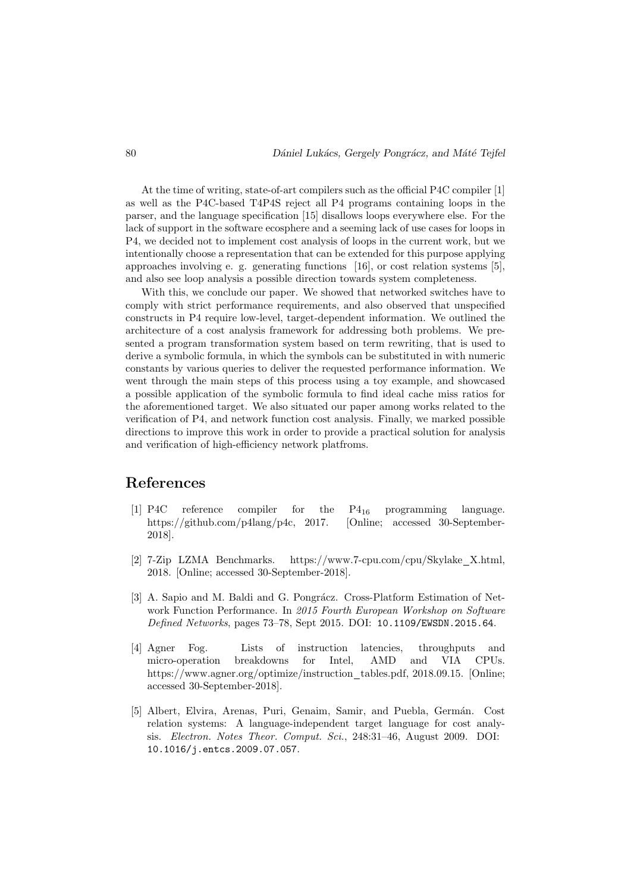At the time of writing, state-of-art compilers such as the official P4C compiler [1] as well as the P4C-based T4P4S reject all P4 programs containing loops in the parser, and the language specification [15] disallows loops everywhere else. For the lack of support in the software ecosphere and a seeming lack of use cases for loops in P4, we decided not to implement cost analysis of loops in the current work, but we intentionally choose a representation that can be extended for this purpose applying approaches involving e. g. generating functions [16], or cost relation systems [5], and also see loop analysis a possible direction towards system completeness.

With this, we conclude our paper. We showed that networked switches have to comply with strict performance requirements, and also observed that unspecified constructs in P4 require low-level, target-dependent information. We outlined the architecture of a cost analysis framework for addressing both problems. We presented a program transformation system based on term rewriting, that is used to derive a symbolic formula, in which the symbols can be substituted in with numeric constants by various queries to deliver the requested performance information. We went through the main steps of this process using a toy example, and showcased a possible application of the symbolic formula to find ideal cache miss ratios for the aforementioned target. We also situated our paper among works related to the verification of P4, and network function cost analysis. Finally, we marked possible directions to improve this work in order to provide a practical solution for analysis and verification of high-efficiency network platfroms.

## References

- [1] P4C reference compiler for the P4<sup>16</sup> programming language. https://github.com/p4lang/p4c, 2017. [Online; accessed 30-September-2018].
- [2] 7-Zip LZMA Benchmarks. https://www.7-cpu.com/cpu/Skylake X.html, 2018. [Online; accessed 30-September-2018].
- [3] A. Sapio and M. Baldi and G. Pongrácz. Cross-Platform Estimation of Network Function Performance. In 2015 Fourth European Workshop on Software Defined Networks, pages 73–78, Sept 2015. DOI: 10.1109/EWSDN.2015.64.
- [4] Agner Fog. Lists of instruction latencies, throughputs and micro-operation breakdowns for Intel, AMD and VIA CPUs. https://www.agner.org/optimize/instruction tables.pdf, 2018.09.15. [Online; accessed 30-September-2018].
- [5] Albert, Elvira, Arenas, Puri, Genaim, Samir, and Puebla, Germán. Cost relation systems: A language-independent target language for cost analysis. Electron. Notes Theor. Comput. Sci., 248:31–46, August 2009. DOI: 10.1016/j.entcs.2009.07.057.